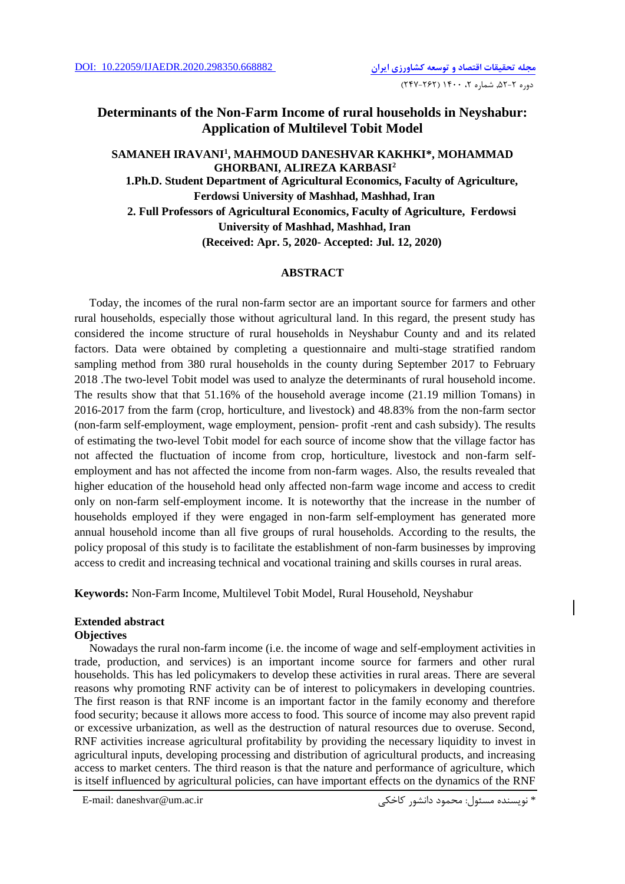# **Determinants of the Non-Farm Income of rural households in Neyshabur: Application of Multilevel Tobit Model**

# **SAMANEH IRAVANI<sup>1</sup> , MAHMOUD DANESHVAR KAKHKI\*, MOHAMMAD GHORBANI, ALIREZA KARBASI<sup>2</sup> 1.Ph.D. Student Department of Agricultural Economics, Faculty of Agriculture, Ferdowsi University of Mashhad, Mashhad, Iran 2. Full Professors of Agricultural Economics, Faculty of Agriculture, Ferdowsi University of Mashhad, Mashhad, Iran (Received: Apr. 5, 2020- Accepted: Jul. 12, 2020)**

### **ABSTRACT**

Today, the incomes of the rural non-farm sector are an important source for farmers and other rural households, especially those without agricultural land. In this regard, the present study has considered the income structure of rural households in Neyshabur County and and its related factors. Data were obtained by completing a questionnaire and multi-stage stratified random sampling method from 380 rural households in the county during September 2017 to February 2018 .The two-level Tobit model was used to analyze the determinants of rural household income. The results show that that 51.16% of the household average income (21.19 million Tomans) in 2016-2017 from the farm (crop, horticulture, and livestock) and 48.83% from the non-farm sector (non-farm self-employment, wage employment, pension- profit -rent and cash subsidy). The results of estimating the two-level Tobit model for each source of income show that the village factor has not affected the fluctuation of income from crop, horticulture, livestock and non-farm selfemployment and has not affected the income from non-farm wages. Also, the results revealed that higher education of the household head only affected non-farm wage income and access to credit only on non-farm self-employment income. It is noteworthy that the increase in the number of households employed if they were engaged in non-farm self-employment has generated more annual household income than all five groups of rural households. According to the results, the policy proposal of this study is to facilitate the establishment of non-farm businesses by improving access to credit and increasing technical and vocational training and skills courses in rural areas.

**Keywords:** Non-Farm Income, Multilevel Tobit Model, Rural Household, Neyshabur

## **Extended abstract**

#### **Objectives**

Nowadays the rural non-farm income (i.e. the income of wage and self-employment activities in trade, production, and services) is an important income source for farmers and other rural households. This has led policymakers to develop these activities in rural areas. There are several reasons why promoting RNF activity can be of interest to policymakers in developing countries. The first reason is that RNF income is an important factor in the family economy and therefore food security; because it allows more access to food. This source of income may also prevent rapid or excessive urbanization, as well as the destruction of natural resources due to overuse. Second, RNF activities increase agricultural profitability by providing the necessary liquidity to invest in agricultural inputs, developing processing and distribution of agricultural products, and increasing access to market centers. The third reason is that the nature and performance of agriculture, which is itself influenced by agricultural policies, can have important effects on the dynamics of the RNF

E-mail: daneshvar@um.ac.ir کاخکی دانشور محمود :مسئول نويسنده\*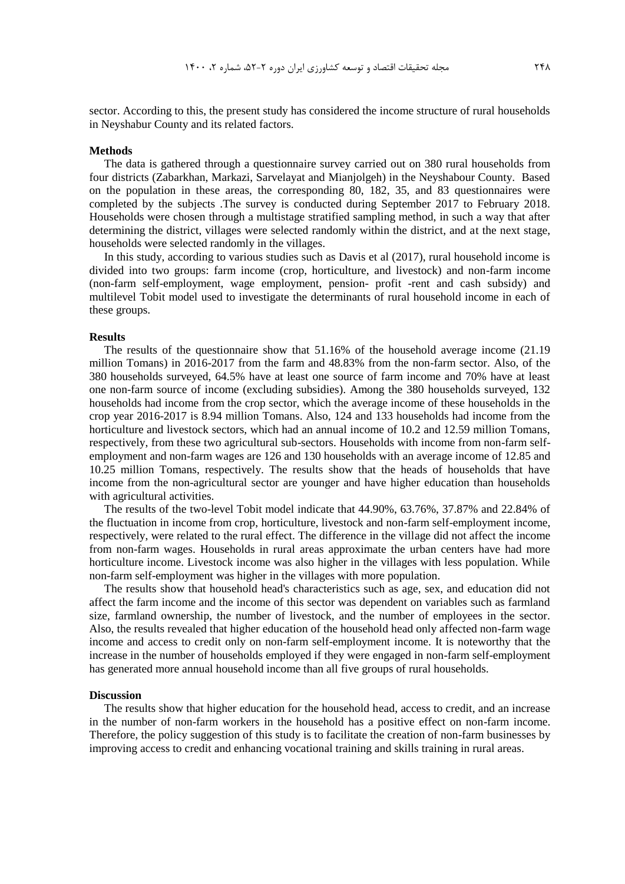sector. According to this, the present study has considered the income structure of rural households in Neyshabur County and its related factors.

#### **Methods**

The data is gathered through a questionnaire survey carried out on 380 rural households from four districts (Zabarkhan, Markazi, Sarvelayat and Mianjolgeh) in the Neyshabour County. Based on the population in these areas, the corresponding 80, 182, 35, and 83 questionnaires were completed by the subjects .The survey is conducted during September 2017 to February 2018. Households were chosen through a multistage stratified sampling method, in such a way that after determining the district, villages were selected randomly within the district, and at the next stage, households were selected randomly in the villages.

In this study, according to various studies such as Davis et al (2017), rural household income is divided into two groups: farm income (crop, horticulture, and livestock) and non-farm income (non-farm self-employment, wage employment, pension- profit -rent and cash subsidy) and multilevel Tobit model used to investigate the determinants of rural household income in each of these groups.

#### **Results**

The results of the questionnaire show that 51.16% of the household average income (21.19 million Tomans) in 2016-2017 from the farm and 48.83% from the non-farm sector. Also, of the 380 households surveyed, 64.5% have at least one source of farm income and 70% have at least one non-farm source of income (excluding subsidies). Among the 380 households surveyed, 132 households had income from the crop sector, which the average income of these households in the crop year 2016-2017 is 8.94 million Tomans. Also, 124 and 133 households had income from the horticulture and livestock sectors, which had an annual income of 10.2 and 12.59 million Tomans, respectively, from these two agricultural sub-sectors. Households with income from non-farm selfemployment and non-farm wages are 126 and 130 households with an average income of 12.85 and 10.25 million Tomans, respectively. The results show that the heads of households that have income from the non-agricultural sector are younger and have higher education than households with agricultural activities.

The results of the two-level Tobit model indicate that 44.90%, 63.76%, 37.87% and 22.84% of the fluctuation in income from crop, horticulture, livestock and non-farm self-employment income, respectively, were related to the rural effect. The difference in the village did not affect the income from non-farm wages. Households in rural areas approximate the urban centers have had more horticulture income. Livestock income was also higher in the villages with less population. While non-farm self-employment was higher in the villages with more population.

The results show that household head's characteristics such as age, sex, and education did not affect the farm income and the income of this sector was dependent on variables such as farmland size, farmland ownership, the number of livestock, and the number of employees in the sector. Also, the results revealed that higher education of the household head only affected non-farm wage income and access to credit only on non-farm self-employment income. It is noteworthy that the increase in the number of households employed if they were engaged in non-farm self-employment has generated more annual household income than all five groups of rural households.

#### **Discussion**

The results show that higher education for the household head, access to credit, and an increase in the number of non-farm workers in the household has a positive effect on non-farm income. Therefore, the policy suggestion of this study is to facilitate the creation of non-farm businesses by improving access to credit and enhancing vocational training and skills training in rural areas.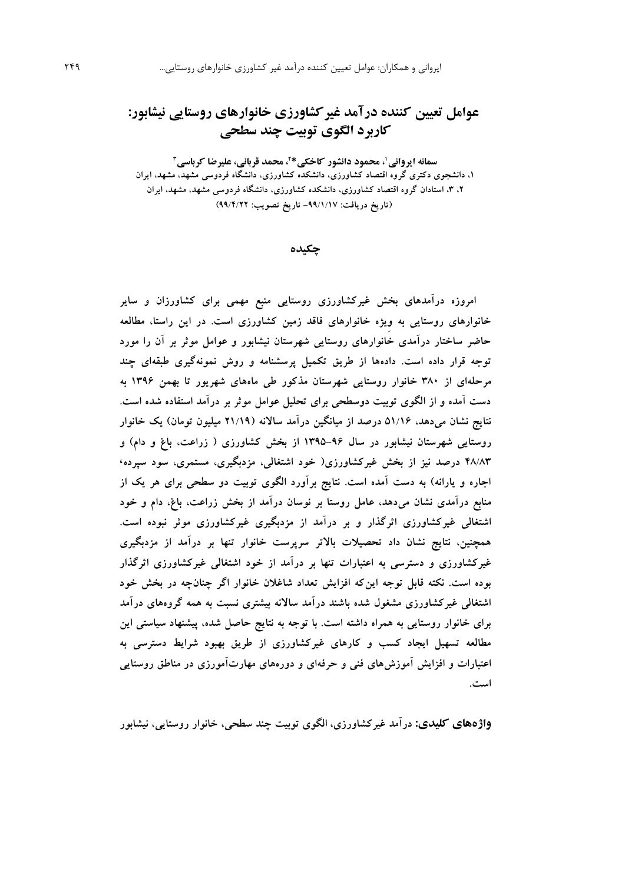# **عوامل تعیین کننده درآمد غیرکشاورزی خانوارهای روستایی نیشابور: کاربرد الگوی توبیت چند سطحی**

**\* ،<sup>1</sup> محمود دانشور کاخکی سمانه ایروانی ،<sup>2</sup> محمد قربانی، علیرضا کرباسی<sup>3</sup> ،1 دانشجوی دکتری گروه اقتصاد کشاورزی، دانشکده کشاورزی، دانشگاه فردوسی مشهد، مشهد، ایران ،2 ،3 استادان گروه اقتصاد کشاورزی، دانشکده کشاورزی، دانشگاه فردوسی مشهد، مشهد، ایران )تاریخ دریافت: -99/1/17 تاریخ تصویب: 99/4/22(**

**چکیده**

**امروزه درآمدهای بخش غیرکشاورزی روستایی منبع مهمی برای کشاورزان و سایر خانوارهای روستایی به وِیژه خانوارهای فاقد زمین کشاورزی است. در این راستا، مطالعه حاضر ساختار درآمدی خانوارهای روستایی شهرستان نیشابور و عوامل موثر بر آن را مورد توجه قرار داده است. دادهها از طریق تکمیل پرسشنامه و روش نمونهگیری طبقهای چند مرحلهای از 380 خانوار روستایی شهرستان مذکور طی ماههای شهریور تا بهمن 1396 به دست آمده و از الگوی توبیت دوسطحی برای تحلیل عوامل موثر بر درآمد استفاده شده است. نتایج نشان میدهد، 51/16 درصد از میانگین درآمد ساالنه )21/19 میلیون تومان( یک خانوار روستایی شهرستان نیشابور در سال 1395-96 از بخش کشاورزی ) زراعت، باغ و دام( و 48/83 درصد نیز از بخش غیرکشاورزی) خود اشتغالی، مزدبگیری، مستمری، سود سپرده،** اجاره و یارانه) به دست آمده است. نتایج برآورد الگوی توبیت دو سطحی برای هر یک از **منابع درآمدی نشان میدهد، عامل روستا بر نوسان درآمد از بخش زراعت، باغ، دام و خود اشتغالی غیرکشاورزی اثرگذار و بر درآمد از مزدبگیری غیرکشاورزی موثر نبوده است. همچنین، نتایج نشان داد تحصیالت باالتر سرپرست خانوار تنها بر درآمد از مزدبگیری غیرکشاورزی و دسترسی به اعتبارات تنها بر درآمد از خود اشتغالی غیرکشاورزی اثرگذار بوده است. نکته قابل توجه اینکه افزایش تعداد شاغالن خانوار اگر چنانچه در بخش خود اشتغالی غیرکشاورزی مشغول شده باشند درآمد ساالنه بیشتری نسبت به همه گروههای درآمد برای خانوار روستایی به همراه داشته است. با توجه به نتایج حاصل شده، پیشنهاد سیاستی این مطالعه تسهیل ایجاد کسب و کارهای غیرکشاورزی از طریق بهبود شرایط دسترسی به اعتبارات و افزایش آموزشهای فنی و حرفهای و دورههای مهارتآمورزی در مناطق روستایی است.** 

**واژههای کلیدی: درآمد غیرکشاورزی، الگوی توبیت چند سطحی، خانوار روستایی، نیشابور**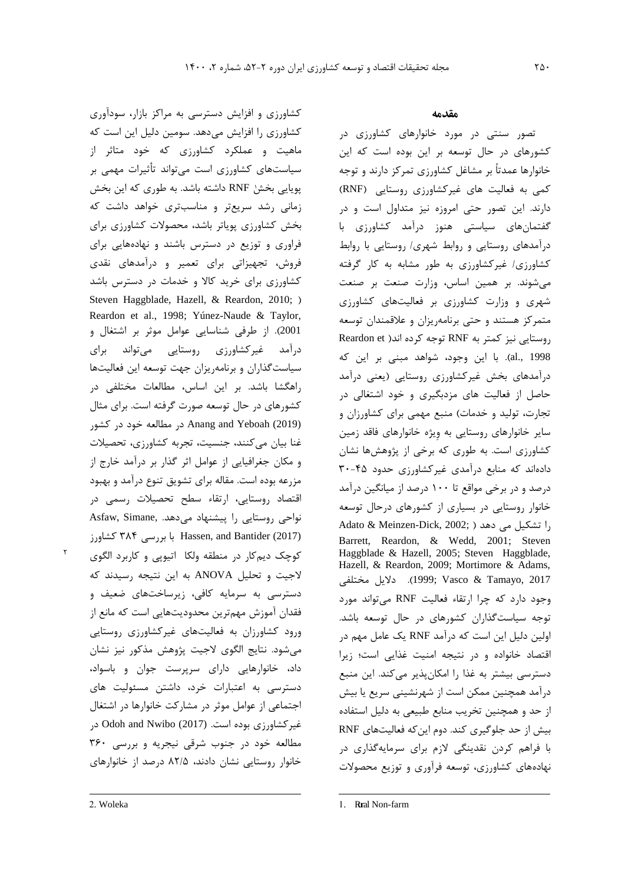1پويايی بخش RNF داشته باشد. به طوري که اين بخش کشاورزي و افزايش دسترسی به مراکز بازار، سودآوري کشاورزي را افزايش میدهد. سومين دليل اين است که ماهيت و عملکرد کشاورزي که خود متاثر از سياستهاي کشاورزي است میتواند تأثيرات مهمی بر زمانی رشد سريعتر و مناسبتري خواهد داشت که بخش کشاورزي پوياتر باشد، محصوالت کشاورزي براي فراوري و توزيع در دسترس باشند و نهادههايی براي فروش، تجهيزاتی براي تعمير و درآمدهاي نقدي کشاورزي براي خريد کاال و خدمات در دسترس باشد [Steven Haggblade, Hazell, & Reardon, 2010;](#page-15-6) ) [Reardon et al., 1998](#page-15-0)[; Yúnez-Naude & Taylor,](#page-15-7)  [2001](#page-15-7)(. از طرفی شناسايی عوامل موثر بر اشتغال و درآمد غيرکشاورزي روستايی میتواند براي سياستگذاران و برنامهريزان جهت توسعه اين فعاليتها راهگشا باشد. بر اين اساس، مطالعات مختلفی در کشورهاي در حال توسعه صورت گرفته است. براي مثال [\(2019\) Yeboah and Anang](#page-14-1) در مطالعه خود در کشور غنا بيان میکنند، جنسيت، تجربه کشاورزي، تحصيالت و مکان جغرافيايی از عوامل اثر گذار بر درآمد خارج از مزرعه بوده است. مقاله براي تشويق تنوع درآمد و بهبود اقتصاد روستايی، ارتقاء سطح تحصيالت رسمی در نواحی روستايی را پيشنهاد میدهد[.](#page-15-8) ,Asfaw, Simane (2017) Bantider and ,Hassen با بررسی 384 کشاورز کوچک ديمکار در منطقه ولکا اتيوپی و کاربرد الگوي الجيت و تحليل ANOVA به اين نتيجه رسيدند که دسترسی به سرمايه کافی، زيرساختهاي ضعيف و فقدان آموزش مهمترين محدوديتهايی است که مانع از ورود کشاورزان به فعاليتهاي غيرکشاورزي روستايی میشود. نتايج الگوي الجيت پژوهش مذکور نيز نشان داد، خانوارهايی داراي سرپرست جوان و باسواد، دسترسی به اعتبارات خرد، داشتن مسئوليت هاي اجتماعی از عوامل موثر در مشارکت خانوارها در اشتغال غيرکشاورزي بوده است. [\(2017\) Nwibo and Odoh](#page-15-9) در مطالعه خود در جنوب شرقی نيجريه و بررسی 360 خانوار روستايی نشان دادند، 82/5 درصد از خانوارهاي

تصور سنتی در مورد خانوارهاي کشاورزي در کشورهاي در حال توسعه بر اين بوده است که اين خانوارها عمدتاً بر مشاغل کشاورزي تمرکز دارند و توجه کمی به فعالیت های غیرکشاورزی روستایی (RNF) دارند. اين تصور حتی امروزه نيز متداول است و در گفتمانهاي سياستی هنوز درآمد کشاورزي با درآمدهاي روستايی و روابط شهري/ روستايی با روابط کشاورزي/ غيرکشاورزي به طور مشابه به کار گرفته میشوند. بر همين اساس، وزارت صنعت بر صنعت شهري و وزارت کشاورزي بر فعاليتهاي کشاورزي متمرکز هستند و حتی برنامهريزان و عالقمندان توسعه روستايی نيز کمتر به RNF توجه کرده اند[\)](#page-15-0) [et Reardon](#page-15-0) [1998 .,al](#page-15-0)). با اين وجود، شواهد مبنی بر اين که درآمدهاي بخش غيرکشاورزي روستايی )يعنی درآمد حاصل از فعاليت هاي مزدبگيري و خود اشتغالی در تجارت، توليد و خدمات) منبع مهمی برای کشاورزان و ساير خانوارهاي روستايی به وِيژه خانوارهاي فاقد زمين کشاورزي است. به طوري که برخی از پژوهشها نشان دادهاند که منابع درآمدي غيرکشاورزي حدود 30-45 درصد و در برخی مواقع تا 100 درصد از ميانگين درآمد خانوار روستايی در بسياري از کشورهاي درحال توسعه را تشکيل مي دهد ( ;2002 ,Adato & Meinzen-Dick, 2002 [Barrett, Reardon, & Wedd, 2001](#page-15-1)[; Steven](#page-15-2)  [Haggblade & Hazell, 2005](#page-15-2)[; Steven Haggblade,](#page-15-3)  [Hazell, & Reardon, 2009](#page-15-3)[; Mortimore & Adams,](#page-15-4)  [2017 ,Tamayo & Vasco](#page-15-5)[;](#page-15-4) [1999](#page-15-4)). داليل مختلفی وجود دارد که چرا ارتقاء فعاليت RNF میتواند مورد توجه سياستگذاران کشورهاي در حال توسعه باشد. اولين دليل اين است که درآمد RNF يک عامل مهم در اقتصاد خانواده و در نتيجه امنيت غذايی است؛ زيرا دسترسی بيشتر به غذا را امکانپذير میکند. اين منبع درآمد همچنين ممکن است از شهرنشينی سريع يا بيش از حد و همچنين تخريب منابع طبيعی به دليل استفاده بيش از حد جلوگيري کند. دوم اينکه فعاليتهاي RNF با فراهم کردن نقدينگی الزم براي سرمايهگذاري در نهادههاي کشاورزي، توسعه فرآوري و توزيع محصوالت

 $\overline{a}$ 

٢

 $\overline{a}$ 

<sup>2.</sup> Woleka

<sup>1.</sup> Rural Non-farm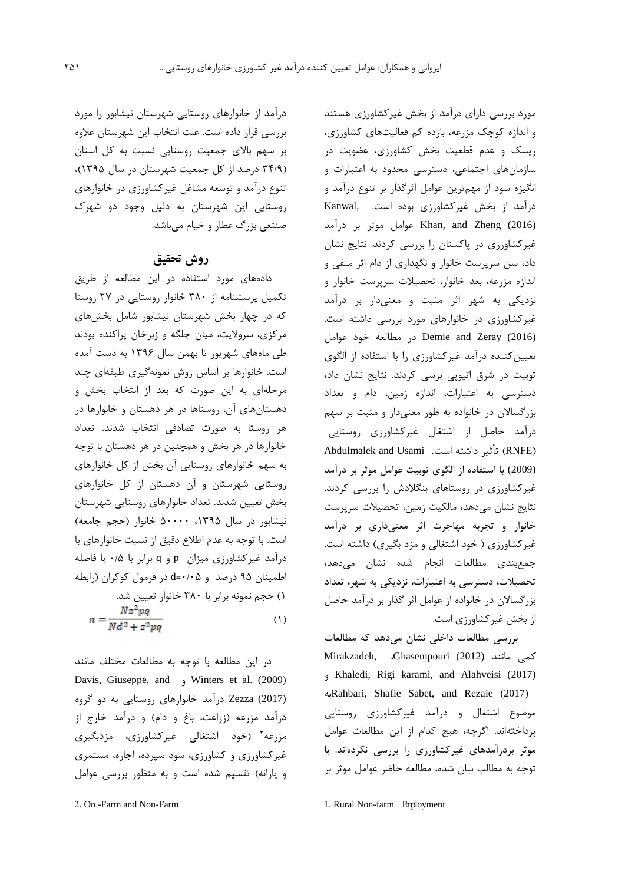مورد بررسی داراي درآمد از بخش غيرکشاورزي هستند و اندازه کوچک مزرعه، بازده کم فعاليتهاي کشاورزي، ريسک و عدم قطعيت بخش کشاورزي، عضويت در سازمانهاي اجتماعی، دسترسی محدود به اعتبارات و انگيزه سود از مهمترين عوامل اثرگذار بر تنوع درآمد و درآمد از بخش غيرکشاورزي بوده است. [,Kanwal](#page-15-10) لابوش بر درآمد Khan, and Zheng (2016) غيرکشاورزي در پاکستان را بررسی کردند. نتايج نشان داد، سن سرپرست خانوار و نگهداري از دام اثر منفی و اندازه مزرعه، بعد خانوار، تحصيالت سرپرست خانوار و نزديکی به شهر اثر مثبت و معنیدار بر درآمد غيرکشاورزي در خانوارهاي مورد بررسی داشته است. [\(2016\) Zeray and Demie](#page-15-11) در مطالعه خود عوامل تعيينکننده درآمد غيرکشاورزي را با استفاده از الگوي توبيت در شرق اتيوپی برسی کردند. نتايج نشان داد، دسترسی به اعتبارات، اندازه زمين، دام و تعداد بزرگساالن در خانواده به طور معنیدار و مثبت بر سهم درآمد حاصل از اشتغال غيرکشاورزي روستايی [Abdulmalek and Usami](#page-14-2) .است داشته تأثير( RNFE( (2009) با استفاده از الگوي توبيت عوامل موثر بر درآمد غيرکشاورزي در روستاهاي بنگالدش را بررسی کردند. نتايج نشان میدهد، مالکيت زمين، تحصيالت سرپرست خانوار و تجربه مهاجرت اثر معنیداري بر درآمد غير کشاورزي ( خود اشتغالي و مزد بگيري) داشته است. جمعبندي مطالعات انجام شده نشان میدهد، تحصيالت، دسترسی به اعتبارات، نزديکی به شهر، تعداد بزرگساالن در خانواده از عوامل اثر گذار بر درآمد حاصل از بخش غيرکشاورزي است.

بررسی مطالعات داخلی نشان میدهد که مطالعات کمی مانند [\(2012\) Ghasempouri](#page-15-12)، [,Mirakzadeh](#page-15-13) و Khaledi, Rigi karami, and Alahveisi (2017) به[Rahbari, Shafie Sabet, and Rezaie \(2017\)](#page-15-14) موضوع اشتغال و درآمد غيرکشاورزي روستايی پرداختهاند. اگرچه، هيچ کدام از اين مطالعات عوامل موثر بردرآمدهاي غيرکشاورزي را بررسی نکردهاند. با توجه به مطالب بيان شده، مطالعه حاضر عوامل موثر بر

درآمد از خانوارهاي روستايی شهرستان نيشابور را مورد بررسی قرار داده است. علت انتخاب اين شهرستان عالوه بر سهم باالي جمعيت روستايی نسبت به کل استان )34/9 درصد از کل جمعيت شهرستان در سال 1395(، تنوع درآمد و توسعه مشاغل غيرکشاورزي در خانوارهاي روستايی اين شهرستان به دليل وجود دو شهرک صنتعی بزرگ عطار و خيام میباشد.

# **روش تحقیق**

دادههاي مورد استفاده در اين مطالعه از طريق تکميل پرسشنامه از 380 خانوار روستايی در 27 روستا که در چهار بخش شهرستان نيشابور شامل بخشهاي مرکزي، سرواليت، ميان جلگه و زبرخان پراکنده بودند طی ماههاي شهريور تا بهمن سال 1396 به دست آمده است. خانوارها بر اساس روش نمونهگيري طبقهاي چند مرحلهاي به اين صورت که بعد از انتخاب بخش و دهستانهاي آن، روستاها در هر دهستان و خانوارها در 1هر روستا به صورت تصادفی انتخاب شدند. تعداد خانوارها در هر بخش و همچنين در هر دهستان با توجه به سهم خانوارهاي روستايی آن بخش از کل خانوارهاي روستايی شهرستان و آن دهستان از کل خانوارهاي بخش تعيين شدند. تعداد خانوارهاي روستايی شهرستان نيشابور در سال ۱۳۹۵، ۵۰۰۰۰ خانوار (حجم جامعه) است. با توجه به عدم اطالع دقيق از نسبت خانوارهاي با درآمد غيرکشاورزي ميزان p و q برابر با 0/5 با فاصله اطمينان 95 درصد و 0/05=d در فرمول کوکران )رابطه 1( حجم نمونه برابر با 380 خانوار تعيين شد.  $n = \frac{Nz^2pq}{Nd^2 + z^2pq}$  $(1)$ 

در اين مطالعه با توجه به مطالعات مختلف مانند [Davis, Giuseppe, and](#page-15-16) و [Winters et al. \(2009\)](#page-15-15) (2017) Zezza درآمد خانوارهاي روستايی به دو گروه درآمد مزرعه )زراعت، باغ و دام( و درآمد خارج از مزرعه<sup>۲</sup> (خود اشتغالی غیرکشاورزی، مزدبگیری غيرکشاورزي و کشاورزي، سود سپرده، اجاره، مستمري و يارانه( تقسيم شده است و به منظور بررسی عوامل

 $\overline{a}$ 

-

<sup>2.</sup> On -Farm and Non-Farm

<sup>1.</sup> Rural Non-farm Employment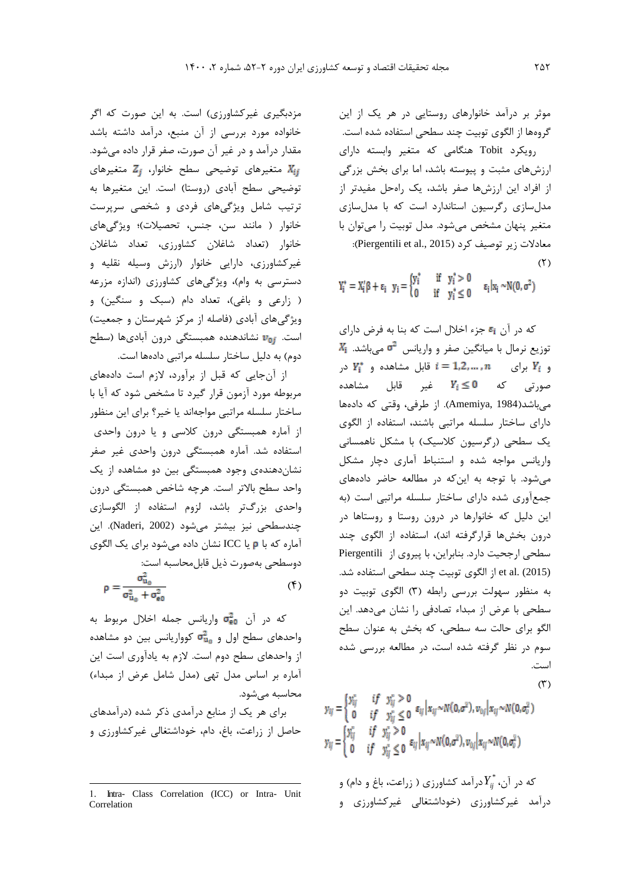موثر بر درآمد خانوارهاي روستايی در هر يک از اين گروهها از الگوي توبيت چند سطحی استفاده شده است. رويکرد Tobit هنگامی که متغير وابسته داراي ارزشهاي مثبت و پيوسته باشد، اما براي بخش بزرگی از افراد اين ارزشها صفر باشد، يک راهحل مفيدتر از مدلسازي رگرسيون استاندارد است که با مدلسازي متغير پنهان مشخص میشود. مدل توبيت را میتوان با  $\chi$  (Piergentili et al., 2015). معادلات زير توصيف كرد

 $(5)$ 

 $(1)$ 

 $Y_i^*=X_i'\beta+\epsilon_i\ \ y_i=\begin{cases} y_i^*&\text{if}\ \ y_i^*>0\\ 0&\text{if}\ \ v_i^*\leq0 \end{cases} \quad \epsilon_i\vert x_i\sim N(0,\sigma^2)$ 

که در آن 51 جزء اخلال است که بنا به فرض داراي  $X_{\rm i}$  توزيع نرمال با ميانگين صفر و واريانس  $\sigma^2$  میباشد. و  $Y_i^*$  برای  $i = 1, 2, ..., n$  در صورتی که  $Y_i \leq 0$  غير قابل مشاهده میباشد)[1984 ,Amemiya](#page-14-3)). از طرفی، وقتی که دادهها داراي ساختار سلسله مراتبی باشند، استفاده از الگوي يک سطحی (رگرسيون کلاسيک) با مشکل ناهمسانی واريانس مواجه شده و استنباط آماري دچار مشکل میشود. با توجه به اينکه در مطالعه حاضر دادههاي جمعآوري شده داراي ساختار سلسله مراتبی است )به اين دليل که خانوارها در درون روستا و روستاها در درون بخشها قرارگرفته اند(، استفاده از الگوي چند سطحی ارجحيت دارد. بنابراين، با پيروي از [Piergentili](#page-15-17) et al. (2015) از الگوی توبيت چند سطحی استفاده شد. به منظور سهولت بررسی رابطه )3( الگوي توبيت دو سطحی با عرض از مبداء تصادفی را نشان میدهد. اين الگو براي حالت سه سطحی، که بخش به عنوان سطح سوم در نظر گرفته شده است، در مطالعه بررسی شده است.

$$
y_{ij} = \begin{cases} y_{ij}^* & if \quad y_{ij}^* > 0 \\ 0 & if \quad y_{ij}^* \le 0 \quad \varepsilon_{ij} \mid x_{ij} \sim N(0, \sigma^2), v_{0j} \mid x_{ij} \sim N(0, \sigma_v^2) \\ y_{ij} = \begin{cases} y_{ij}^* & if \quad y_{ij}^* > 0 \\ 0 & if \quad y_{ij}^* \le 0 \quad \varepsilon_{ij} \mid x_{ij} \sim N(0, \sigma^2), v_{0j} \mid x_{ij} \sim N(0, \sigma_v^2) \end{cases}
$$

که در آن،  $Y_{ij}^*$ درآمد کشاورزی ( زراعت، باغ و دام) و درآمد غيرکشاورزي )خوداشتغالی غيرکشاورزي و

مزدبگيري غيرکشاورزي) است. به اين صورت که اگر خانواده مورد بررسی از آن منبع، درآمد داشته باشد مقدار درآمد و در غير آن صورت، صفر قرار داده میشود. متغيرهای توضيحی سطح خانوار،  $Z_j$  متغيرهای  $X_{ij}$ توضيحی سطح آبادی (روستا) است. اين متغيرها به ترتيب شامل ويژگیهاي فردي و شخصی سرپرست خانوار ) مانند سن، جنس، تحصيالت(؛ ويژگیهاي خانوار )تعداد شاغالن کشاورزي، تعداد شاغالن غيرکشاورزي، دارايی خانوار )ارزش وسيله نقليه و دسترسی به وام)، ويژگیهای کشاورزی (اندازه مزرعه ( زارعی و باغی)، تعداد دام (سبک و سنگين) و ويژگیهای آبادي (فاصله از مرکز شهرستان و جمعيت) است. *v*<sub>0i</sub> نشاندهنده همبستگی درون آبادیها (سطح دوم) به دليل ساختار سلسله مراتبی دادهها است.

از آنجايی که قبل از برآورد، الزم است دادههاي مربوطه مورد آزمون قرار گيرد تا مشخص شود که آيا با ساختار سلسله مراتبی مواجهاند يا خير؟ براي اين منظور از آماره همبستگی درون کالسی و يا درون واحدي استفاده شد. آماره همبستگی درون واحدي غير صفر نشاندهندهي وجود همبستگی بين دو مشاهده از يک واحد سطح باالتر است. هرچه شاخص همبستگی درون واحدي بزرگتر باشد، لزوم استفاده از الگوسازي چندسطحی نيز بيشتر میشود )[2002 ,Naderi](#page-15-18)). اين آماره که با يا ICC نشان داده میشود براي يک الگوي دوسطحی بهصورت ذيل قابلمحاسبه است:

$$
\rho = \frac{\sigma_{u_0}}{\sigma_{u_0}^2 + \sigma_{\mathbf{e}0}^2} \tag{5}
$$

که در آن واريانس جمله اخالل مربوط به واحدهاي سطح اول و  $\sigma^2_{\mathbf{u}_0}$  کوواريانس بين دو مشاهده از واحدهاي سطح دوم است. الزم به يادآوري است اين آماره بر اساس مدل تهی )مدل شامل عرض از مبداء( محاسبه میشود. براي هر يک از منابع درآمدي ذکر شده )درآمدهاي

حاصل از زراعت، باغ، دام، خوداشتغالی غيرکشاورزي و

 $\overline{a}$ 

<sup>1.</sup> Intra- Class Correlation (ICC) or Intra- Unit Correlation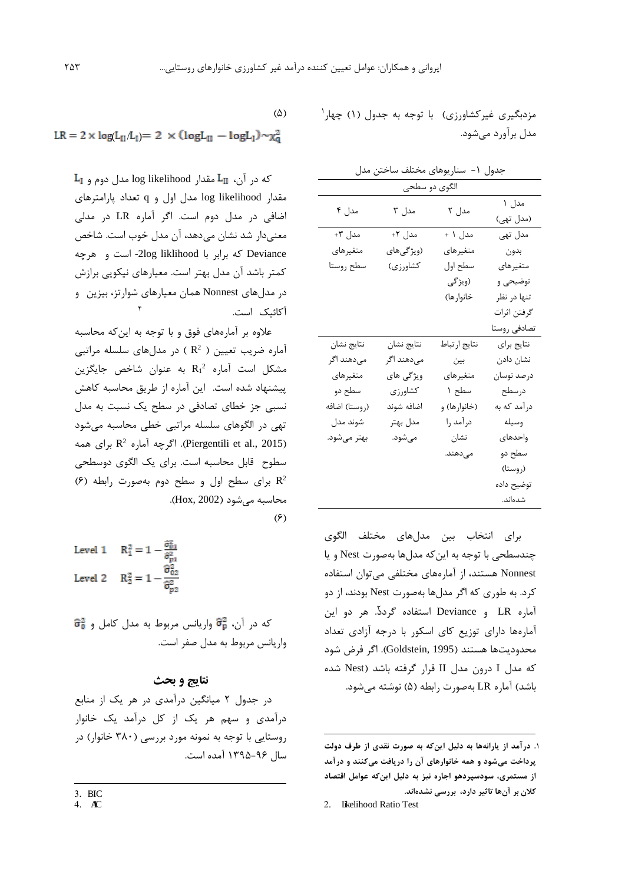مزدبگيرى غيرکشاورزى) با توجه به جدول (١) چهار<sup>\</sup> مدل برآورد میشود.

| جدول ۱- سناریوهای مختلف ساختن مدل |               |              |                    |  |  |
|-----------------------------------|---------------|--------------|--------------------|--|--|
|                                   | الگوی دو سطحی |              |                    |  |  |
| مدل ۴                             | مدل ۳         | مدل ۲        | مدل ۱<br>(مدل تھی) |  |  |
| مدل ۳+                            | مدل ۲+        | مدل ۱ +      | مدل تھی            |  |  |
| متغيرهاي                          | (ویژگیهای     | متغيرهاي     | بدون               |  |  |
| سطح روستا                         | كشاورزي)      | سطح اول      | متغيرهاي           |  |  |
|                                   |               | (ویژگی       | توضیحی و           |  |  |
|                                   |               | خانوار ها)   | تنها در نظر        |  |  |
|                                   |               |              | گرفتن اثرات        |  |  |
|                                   |               |              | تصادفي روستا       |  |  |
| نتايج نشان                        | نتايج نشان    | نتايج ارتباط | نتايج براي         |  |  |
| مىدهند اگر                        | مىدهند اگر    | بين          | نشان دادن          |  |  |
| متغيرهاي                          | ویژگی های     | متغيرهاي     | درصد نوسان         |  |  |
| سطح دو                            | كشاورزي       | سطح ۱        | درسطح              |  |  |
| (روستا) اضافه                     | اضافه شوند    | (خانوارها) و | درآمد که به        |  |  |
| شوند مدل                          | مدل بهتر      | درآمد را     | وسيله              |  |  |
| بهتر مىشود.                       | مىشود.        | نشان         | واحدهاى            |  |  |
|                                   |               | مے دھند.     | سطح دو             |  |  |
|                                   |               |              | (روستا)            |  |  |
|                                   |               |              | توضيح داده         |  |  |
|                                   |               |              | شدەاند.            |  |  |

براي انتخاب بين مدلهاي مختلف الگوي چندسطحی با توجه به اينکه مدلها بهصورت Nest و يا Nonnest هستند، از آمارههاي مختلفی میتوان استفاده کرد. به طوري که اگر مدلها بهصورت Nest بودند، از دو 2 آماره LR و Deviance استفاده گردد. هر دو اين آمارهها داراي توزيع کاي اسکور با درجه آزادي تعداد محدوديتها هستند )[1995 ,Goldstein](#page-15-19)). اگر فرض شود که مدل I درون مدل II قرار گرفته باشد )Nest شده باشد) آماره LR بهصورت رابطه (۵) نوشته میشود.

2. Likelihood Ratio Test

-

$$
(\Diamond)
$$

$$
LR = 2 \times log(L_{II}/L_I) = 2 \times (log L_{II} - log L_I) \sim \chi^2_q
$$

 $\mathbf{L}_{\mathbf{I}}$  که در آن،  $\mathbf{L}_{\mathbf{II}}$  مقدار log likelihood مدل دوم و مقدار likelihood log مدل اول و q تعداد پارامترهاي اضافی در مدل دوم است. اگر آماره LR در مدلی معنیدار شد نشان میدهد، آن مدل خوب است. شاخص Deviance که برابر با liklihood log-2 است و هرچه کمتر باشد آن مدل بهتر است. معيارهاي نيکويی برازش در مدلهاي Nonnest همان معيارهاي شوارتز، بيزين و ٢ آکائيک است.

عالوه بر آمارههاي فوق و با توجه به اينکه محاسبه 2 آماره ضريب تعيين ) R ) در مدلهاي سلسله مراتبی 2 مشکل است آماره <sup>1</sup>R به عنوان شاخص جايگزين پيشنهاد شده است. اين آماره از طريق محاسبه کاهش نسبی جز خطاي تصادفی در سطح يک نسبت به مدل تهی در الگوهاي سلسله مراتبی خطی محاسبه میشود اگرچه آماره  $\mathsf{R}^2$  برای همه.) [Piergentili et al., 2015](#page-15-17)) سطوح قابل محاسبه است. براي يک الگوي دوسطحی 2 R براي سطح اول و سطح دوم بهصورت رابطه )6( محاسبه می شود (Hox, 2002).  $(5)$ 

Level 1 
$$
R_1^2 = 1 - \frac{\hat{\sigma}_{01}^2}{\hat{\sigma}_{p1}^2}
$$
  
Level 2  $R_2^2 = 1 - \frac{\hat{\sigma}_{02}^2}{\hat{\sigma}_{p2}^2}$ 

 $\widehat{\sigma}_{\rm b}^2$ که در آن،  $\widehat{\sigma}_{\rm p}^2$  واريانس مربوط به مدل کامل و واريانس مربوط به مدل صفر است.

## **نتایج و بحث**

در جدول 2 ميانگين درآمدي در هر يک از منابع درآمدي و سهم هر يک از کل درآمد يک خانوار روستايی با توجه به نمونه مورد بررسی )380 خانوار( در سال 1395-96 آمده است.

 $\overline{a}$ 

4.  $AC$ 

**<sup>.</sup>**1 **درآمد از يارانهها به دليل اينکه به صورت نقدي از طرف دولت پرداخت میشود و همه خانوارهاي آن را دريافت میکنند و درآمد از مستمري، سودسپردهو اجاره نيز به دليل اينکه عوامل اقتصاد کالن بر آنها تاثير دارد، بررسی نشدهاند.**

<sup>3.</sup> BIC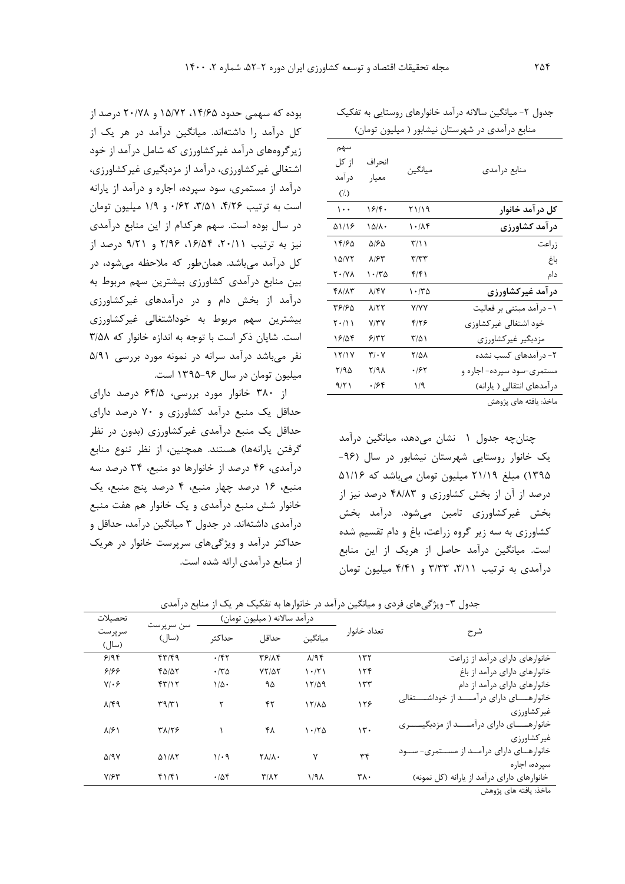|                                                      |                                     |                 | منابع درآمدی در شهرستان نیشابور ( میلیون تومان) |
|------------------------------------------------------|-------------------------------------|-----------------|-------------------------------------------------|
| سهم<br>از کل<br>در آمد<br>$\left(\frac{7}{2}\right)$ | انحراف<br>معيار                     | ميانگين         | منابع درأمدي                                    |
| $\cdots$                                             | ۱۶۴۰                                | ۲۱/۱۹           | کل در آمد خانوار                                |
| 51118                                                | ۱۵/۸۰                               | 1.1             | درآمد کشاورزی                                   |
| ۱۴۱۶۵                                                | ۵۱۶۵                                | T/11            | زراعت                                           |
| $1\Delta/YY$                                         | ۸۱۶۳                                | $\tau/\tau\tau$ | باغ                                             |
| ۲۰/۷۸                                                | ۱۰/۳۵                               | ۴۱۴۱            | دام                                             |
| <b>FAIAT</b>                                         | ۸/۴۷                                | ۱۰/۳۵           | درآمد غیرکشاورزی                                |
| ۳۶۱۶۵                                                | $\lambda$ /٢٢                       | <b>Y/YY</b>     | ۱- درآمد مبتنی بر فعالیت                        |
| $\mathbf{Y} \cdot / \mathbf{1}$                      | Y/YY                                | ۴۱۲۶            | خود اشتغالي غير كشاوزي                          |
| ۱۶۱۵۴                                                | ۶۱۳۲                                | ۳/۵۱            | مزدبگیر غیرکشاورزی                              |
| 17/1Y                                                | $\mathbf{\tilde{y}}\cdot\mathbf{v}$ | <b>Y/41</b>     | ۲- درآمدهای کسب نشده                            |
| Y/90                                                 | ۲/۹۸                                | ۱۶۲             | مستمری-سود سپرده- اجاره و                       |
| 9/7                                                  | ۰۱۶۴                                | ۱/۹             | درآمدهای انتقالی ( یارانه)                      |
|                                                      |                                     |                 | ماخذ: يافته هاي پژوهش                           |

جدول ۲- ميانگين سالانه درآمد خانوارهاي روستايی به تفکيک

چنانچه جدول 1 نشان میدهد، ميانگين درآمد يک خانوار روستايی شهرستان نيشابور در سال )-96 1395( مبلغ 21/19 ميليون تومان میباشد که 51/16 درصد از آن از بخش کشاورزي و 48/83 درصد نيز از بخش غيرکشاورزي تامين میشود. درآمد بخش کشاورزي به سه زير گروه زراعت، باغ و دام تقسيم شده است. ميانگين درآمد حاصل از هريک از اين منابع درآمدي به ترتيب ٣/١١، ٣/٣٣ و ۴/۴١ ميليون تومان

بوده که سهمی حدود ،14/65 15/72 و 20/78 درصد از کل درآمد را داشتهاند. ميانگين درآمد در هر يک از زيرگروههاي درآمد غيرکشاورزي که شامل درآمد از خود اشتغالی غيرکشاورزي، درآمد از مزدبگيري غيرکشاورزي، درآمد از مستمري، سود سپرده، اجاره و درآمد از يارانه است به ترتيب ۴/۲۶، ۳/۵۱، ۶۲/۶۲ و ۱/۹ ميليون تومان در سال بوده است. سهم هرکدام از اين منابع درآمدي نيز به ترتيب ،20/11 ،16/54 2/96 و 9/21 درصد از کل درآمد میباشد. همانطور که مالحظه میشود، در بين منابع درآمدي کشاورزي بيشترين سهم مربوط به درآمد از بخش دام و در درآمدهاي غيرکشاورزي بيشترين سهم مربوط به خوداشتغالی غيرکشاورزي است. شايان ذکر است با توجه به اندازه خانوار که 3/58 نفر میباشد درآمد سرانه در نمونه مورد بررسی 5/91 ميليون تومان در سال 1395-96 است.

از 380 خانوار مورد بررسی، 64/5 درصد داراي حداقل يک منبع درآمد کشاورزي و 70 درصد داراي حداقل يک منبع درآمدي غيرکشاورزي )بدون در نظر گرفتن يارانهها) هستند. همچنين، از نظر تنوع منابع درآمدي، 46 درصد از خانوارها دو منبع، 34 درصد سه منبع، 16 درصد چهار منبع، 4 درصد پنج منبع، يک خانوار شش منبع درآمدي و يک خانوار هم هفت منبع درآمدي داشتهاند. در جدول 3 ميانگين درآمد، حداقل و حداکثر درآمد و ويژگیهاي سرپرست خانوار در هريک از منابع درآمدي ارائه شده است.

| تحصيلات                      |                    |              | درآمد سالانه ( میلیون تومان) |                    |              |                                                                        |
|------------------------------|--------------------|--------------|------------------------------|--------------------|--------------|------------------------------------------------------------------------|
| سرپرست<br>(سال)              | سن سرپرست<br>(سال) | حداكثر       | حداقل                        | ميانگين            | تعداد خانوا, | شرح                                                                    |
| 9/99                         | 57/9               | .757         | 31197                        | $\lambda$ /94      | ۱۳۲          | خانوارهای دارای درآمد از زراعت                                         |
| ۶۱۶۶                         | ۴۵/۵۲              | $\cdot$ /٣۵  | $YY/\Delta Y$                | 1.771              | 156          | خانوارهای دارای درآمد از باغ                                           |
| $Y/\cdot$ ۶                  | 57/15              | $1/\Delta$ . | ۹۵                           | 17/09              | ۱۳۳          | خانوارهای دارای درآمد از دام                                           |
| $\lambda$ /۴۹                | $\Gamma$ 9/٣١      | ۲            | ۴۲                           | $15/\lambda\Delta$ | ۱۲۶          | خانوارهـــــای دارای درآمـــــد از خوداشـــــتغالی<br>غیر کشاورزی      |
| $\lambda$ /۶)                | ۳۸/۲۶              |              | ۴۸                           | 1.70               | 15.          | خانوارهـــــــای دارای در امـــــــد از مزدبگیـــــــری<br>غیر کشاورزی |
| $\Delta$ /9Y                 | <b>AIIAY</b>       | $1/\cdot$ 9  | <b>TAIA.</b>                 | ٧                  | ٣۴           | خانوارهای دارای درآمد از مستمری- سود<br>سیر ده، اجار ه                 |
| $Y/\mathcal{F}^{\mathbf{r}}$ | $f1/\mathfrak{f}$  | .788         | $T/\lambda$                  | $1/9\lambda$       | ٣٨٠          | خانوارهای دارای درآمد از یارانه (کل نمونه)                             |
|                              |                    |              |                              |                    |              | ماخذ: يافته هاي پژوهش                                                  |

جدول ۳- ويژگیهای فردي و ميانگين درآمد در خانوارها به تفکيک هر يک از منابع درآمدي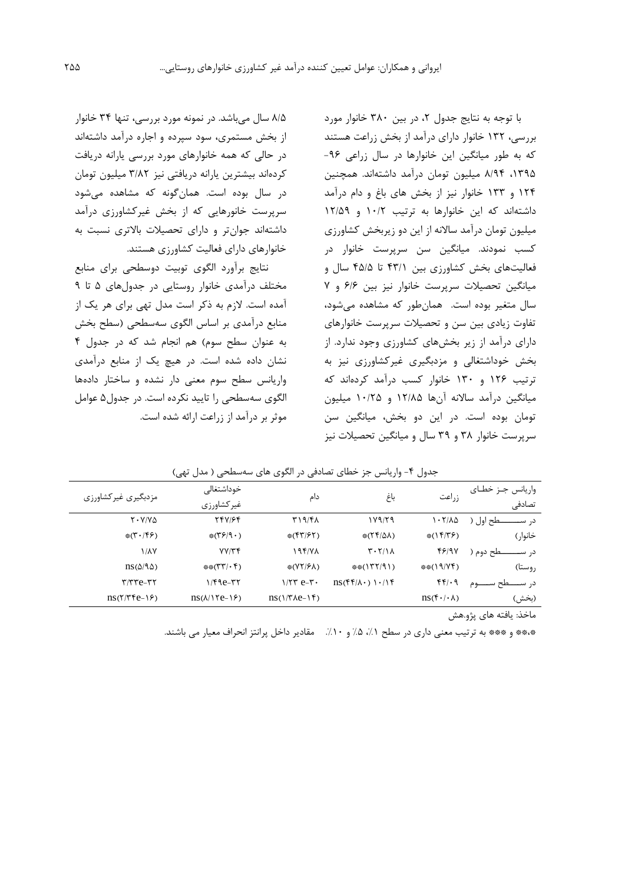با توجه به نتايج جدول ،2 در بين 380 خانوار مورد بررسی، 132 خانوار داراي درآمد از بخش زراعت هستند که به طور ميانگين اين خانوارها در سال زراعی -96 ،1395 8/94 ميليون تومان درآمد داشتهاند. همچنين 124 و 133 خانوار نيز از بخش هاي باغ و دام درآمد داشتهاند که اين خانوارها به ترتيب 10/2 و 12/59 ميليون تومان درآمد ساالنه از اين دو زيربخش کشاورزي کسب نمودند. ميانگين سن سرپرست خانوار در فعاليتهاي بخش کشاورزي بين 43/1 تا 45/5 سال و ميانگين تحصيالت سرپرست خانوار نيز بين 6/6 و 7 سال متغير بوده است. همانطور که مشاهده میشود، تفاوت زيادي بين سن و تحصيالت سرپرست خانوارهاي داراي درآمد از زير بخشهاي کشاورزي وجود ندارد. از بخش خوداشتغالی و مزدبگيري غيرکشاورزي نيز به ترتيب 126 و 130 خانوار کسب درآمد کردهاند که ميانگين درآمد ساالنه آنها 12/85 و 10/25 ميليون تومان بوده است. در اين دو بخش، ميانگين سن سرپرست خانوار 38 و 39 سال و ميانگين تحصيالت نيز

8/5 سال میباشد. در نمونه مورد بررسی، تنها 34 خانوار از بخش مستمري، سود سپرده و اجاره درآمد داشتهاند در حالی که همه خانوارهاي مورد بررسی يارانه دريافت کردهاند بيشترين يارانه دريافتی نيز 3/82 ميليون تومان در سال بوده است. همانگونه که مشاهده میشود سرپرست خانورهايی که از بخش غيرکشاورزي درآمد داشتهاند جوانتر و داراي تحصيالت باالتري نسبت به خانوارهاي داراي فعاليت کشاورزي هستند.

نتايج برآورد الگوي توبيت دوسطحی براي منابع مختلف درآمدي خانوار روستايی در جدولهاي 5 تا 9 آمده است. الزم به ذکر است مدل تهی براي هر يک از منابع درآمدي بر اساس الگوي سهسطحی )سطح بخش به عنوان سطح سوم( هم انجام شد که در جدول 4 نشان داده شده است. در هيچ يک از منابع درآمدي واريانس سطح سوم معنی دار نشده و ساختار دادهها الگوي سهسطحی را تاييد نکرده است. در جدول5 عوامل موثر بر درآمد از زراعت ارائه شده است.

| واریانس جـز خطـای<br>تصادفى | زراعت                                                        | باغ                                                                       | دام                                                              | خوداشتغالے<br>غيركشاورزي                         | مزدبگیری غیرکشاورزی                                     |
|-----------------------------|--------------------------------------------------------------|---------------------------------------------------------------------------|------------------------------------------------------------------|--------------------------------------------------|---------------------------------------------------------|
| ـطح اول (<br>د, س           | 1.7/10                                                       | 119/79                                                                    | ۳۱۹/۴۸                                                           | 747164                                           | $Y \cdot Y / V \Delta$                                  |
| خانوار )                    | $*(1f/T)$                                                    | $*(\Upsilon \Upsilon/\Delta \Lambda)$                                     | $*(\uparrow \uparrow / \uparrow \uparrow)$                       | $*(\mathcal{S}/\mathcal{A} \cdot)$               | $*(\mathbf{Y} \cdot / \mathbf{Y})$                      |
| طح دوم (<br>د, س            | 48197                                                        | $T - T/M$                                                                 | 194/78                                                           | YY/Tf                                            | <b><i>MAY</i></b>                                       |
| روستا)                      | **(19/YF)                                                    | $**(177/9)$                                                               | $\frac{1}{2}(\frac{1}{2}(\frac{1}{2}(\frac{1}{2}(\frac{1}{2})))$ | $**$ ( $\uparrow\uparrow$ ) $\uparrow\uparrow$ ) | $\text{ns}(\Delta/\text{SO})$                           |
| د, سـ                       | $f(f) \cdot 9$                                               | $\text{ns}(\mathfrak{f}\mathfrak{f}/\Lambda\cdot)$ \ $\cdot/\mathfrak{f}$ | $1/TT e-r$                                                       | $1/F9e$ - $rr$                                   | $\tau$ $\tau$ $\tau$ $\epsilon$ $\tau$ $\tau$           |
| (بخش)                       | $\text{ns}(\mathfrak{f}\cdot/\mathfrak{l}\cdot\mathfrak{h})$ |                                                                           | $\text{ns}(1/\text{t} \lambda e^{-1})$                           | $\text{ns}(\lambda/\text{Ne}-\text{S})$          | $\text{ns}(\text{Y}/\text{Y}\text{Y}\text{e}-\text{Y})$ |
|                             |                                                              |                                                                           |                                                                  |                                                  |                                                         |

جدول ۴- واریانس جز خطای تصادفی در الگوی های سهسطحی ( مدل تهی)

ماخذ: يافته هاي پژو.هش

\*\*\*\* و \*\*\* به ترتيب معنى دارى در سطح ١٪، ۵٪ و ١٠٪. مقادير داخل پرانتز انحراف معيار مى باشند.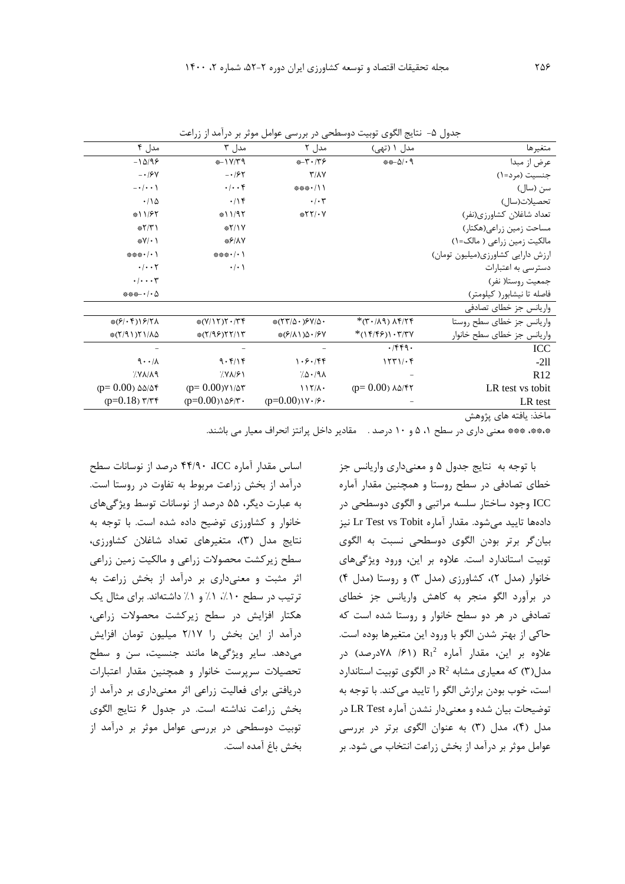| متغيرها                           | مدل ۱ (تهی)                                         | مدل ۲                                                              | مدل ۳                                          | مدل ۴                              |
|-----------------------------------|-----------------------------------------------------|--------------------------------------------------------------------|------------------------------------------------|------------------------------------|
| عرض از مبدا                       | $***-\Delta/\cdot9$                                 | $+T \cdot T$                                                       | #-17/۳9                                        | $-1\Delta/95$                      |
| جنسيت (مرد=١)                     |                                                     | $\Upsilon/\Lambda\Upsilon$                                         | $- \cdot 195$                                  | $- \cdot 194$                      |
| سن (سال)                          |                                                     | *** ' / \ \                                                        | $\cdot/\cdot\cdot$ ۴                           | $-\cdot/\cdot \cdot$               |
| تحصيلات(سال)                      |                                                     | $\cdot/\cdot$ ۳                                                    | .19                                            | .110                               |
| تعداد شاغلان كشاورزي(نفر)         |                                                     | $*YY/Y$                                                            | #11/95                                         | $*11/57$                           |
| مساحت زمين زراعي(هكتار)           |                                                     |                                                                    | $*Y/Y$                                         | $*Y/Y$                             |
| مالکیت زمین زراعی ( مالک=۱)       |                                                     |                                                                    | **/1Y                                          | $\frac{1}{2}V/\cdot$               |
| ارزش دارایی کشاورزی(میلیون تومان) |                                                     |                                                                    | *** $\cdot$ / $\cdot$ )                        | *** $\cdot$ / $\cdot$ )            |
| دسترسی به اعتبارات                |                                                     |                                                                    | $\cdot/\cdot$                                  | $\cdot$ / $\cdot$ $\cdot$ $\cdot$  |
| جمعيت روستا( نفر)                 |                                                     |                                                                    |                                                | $\cdot/\cdot\cdot\tau$             |
| فاصله تا نيشابور( كيلومتر)        |                                                     |                                                                    |                                                | $***$ $\cdot$ / $\cdot$ $\Delta$   |
| واریانس جز خطای تصادفی            |                                                     |                                                                    |                                                |                                    |
| واریانس جز خطای سطح روستا         | $*(\mathbf{r} \cdot \mathbf{r}) \wedge \mathbf{r})$ | $*(\Upsilon \Upsilon/\Delta \cdot )\Upsilon \Upsilon/\Delta \cdot$ | $\frac{1}{2} (Y/\Gamma) \Gamma \cdot T \Gamma$ | $*(9 \cdot f) 9 7\lambda$          |
| واریانس جز خطای سطح خانوار        | $*(15/5)1.7/74$                                     | $*(\frac{5}{4}\lambda)\Delta \cdot 15V$                            | $*(7/95)77/17$                                 | *(٢/٩١)٢١/٨۵                       |
| ICC                               | .759.                                               |                                                                    |                                                |                                    |
| $-211$                            | 1571/26                                             | 1.5.789                                                            | 9.5118                                         | $9 \cdot \cdot \alpha$             |
| R12                               |                                                     | 70.191                                                             | 7.9191                                         | $\gamma$ Y $\lambda/\lambda$ 9     |
| LR test vs tobit                  | $(p=0.00)$ $\lambda\Delta/\mathfrak{f}$             | $117/\lambda$                                                      | $(p=0.00)$ $Y/\Delta$ ۳                        | $(p=0.00)$ $\Delta\Delta/\Delta f$ |
| LR test                           |                                                     | $(p=0.00)$ $V \cdot 19$                                            | $(p=0.00)$ $\delta$ ۶/۳.                       | $(p=0.18)$ $\frac{9}{7}$           |
| .                                 |                                                     |                                                                    |                                                |                                    |

جدول ۵- نتايج الگوي توبيت دوسطحی در بررسی عوامل موثر بر درآمد از زراعت

ماخذ: يافته هاي پژوهش

\*،\*\*، \*\*\* معنی داري در سطح ،1 5 و 10 درصد . مقادير داخل پرانتز انحراف معيار می باشند.

با توجه به نتايج جدول 5 و معنیداري واريانس جز خطاي تصادفی در سطح روستا و همچنين مقدار آماره ICC وجود ساختار سلسه مراتبی و الگوي دوسطحی در دادهها تاييد میشود. مقدار آماره Tobit vs Test Lr نيز بيانگر برتر بودن الگوي دوسطحی نسبت به الگوي توبيت استاندارد است. عالوه بر اين، ورود ويژگیهاي خانوار (مدل ٢)، کشاورزي (مدل ٣) و روستا (مدل ۴) در برآورد الگو منجر به کاهش واريانس جز خطاي تصادفی در هر دو سطح خانوار و روستا شده است که حاکی از بهتر شدن الگو با ورود اين متغيرها بوده است. علاوه بر اين، مقدار آماره R1<sup>2</sup> (۶۱/ ۷۸درصد) در مدل(۳) که معياري مشابه  $\mathrm{R}^{2}$  در الگوي توبيت استاندارد است، خوب بودن برازش الگو را تاييد میکند. با توجه به توضيحات بيان شده و معنیدار نشدن آماره Test LR در مدل )4(، مدل )3( به عنوان الگوي برتر در بررسی عوامل موثر بر درآمد از بخش زراعت انتخاب می شود. بر

اساس مقدار آماره ICC، 44/90 درصد از نوسانات سطح درآمد از بخش زراعت مربوط به تفاوت در روستا است. به عبارت ديگر، 55 درصد از نوسانات توسط ويژگیهاي خانوار و کشاورزي توضيح داده شده است. با توجه به نتايج مدل )3(، متغيرهاي تعداد شاغالن کشاورزي، سطح زيرکشت محصوالت زراعی و مالکيت زمين زراعی اثر مثبت و معنیداري بر درآمد از بخش زراعت به ترتيب در سطح ١٠٪، ١٪ و ١٪ داشتهاند. براي مثال يک هکتار افزايش در سطح زيرکشت محصوالت زراعی، درآمد از اين بخش را 2/17 ميليون تومان افزايش میدهد. ساير ويژگیها مانند جنسيت، سن و سطح تحصيالت سرپرست خانوار و همچنين مقدار اعتبارات دريافتی براي فعاليت زراعی اثر معنیداري بر درآمد از بخش زراعت نداشته است. در جدول 6 نتايج الگوي توبيت دوسطحی در بررسی عوامل موثر بر درآمد از بخش باغ آمده است.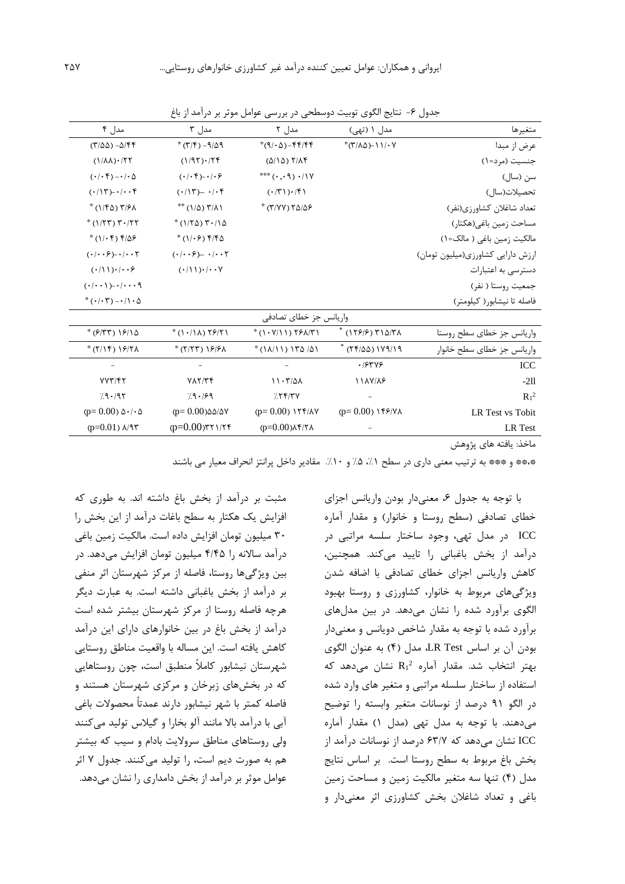| مدل ۴                                                     | مدل ۳                                                                                    | مدل ۲                                                | مدل ۱ (تهی)                                | متغيرها                           |
|-----------------------------------------------------------|------------------------------------------------------------------------------------------|------------------------------------------------------|--------------------------------------------|-----------------------------------|
| $(\Gamma/\Delta\Delta)$ - $\Delta/\Gamma\Gamma$           | $^*(\Upsilon/\Upsilon) - 9/\Delta$                                                       | $*(9/\cdot \Delta) - f f / f f$                      | $*(\uparrow/\wedge\triangle) - 11/\cdot V$ | عرض از مبدا                       |
| $(1/\lambda\lambda)\cdot$ /٢٢                             | $(1/97)\cdot$                                                                            | $(0/10)$ $7/19$                                      |                                            | جنسیت (مرد=۱)                     |
| $(\cdot/\cdot \mathfrak{k}) - \cdot/\cdot \Delta$         | $( \cdot   \cdot \mathfrak{f}) \negthinspace - \negthinspace \cdot   \cdot \mathfrak{f}$ | $\mathcal{N}(\cdot, \cdot, \cdot) \cdot \mathcal{N}$ |                                            | سن (سال)                          |
| $(\cdot/\mathcal{N})$ - $/\cdot$ . $\mathcal{F}$          | $(\cdot/\mathcal{N})$ - $/\mathcal{N}$                                                   | $(\cdot/\mathcal{r})\cdot/\mathcal{r}$               |                                            | تحصيلات(سال)                      |
| $*(1/\sqrt{2})$ T/ $\sqrt{2}$                             | $** (1/\Delta)$ $*/\Lambda$                                                              | * (٣/٧٧) ٢٥/٥۶                                       |                                            | تعداد شاغلان كشاورزي(نفر)         |
| $*(1/5T)$ $T \cdot 15T$                                   | $*(1/70)$ $7.10$                                                                         |                                                      |                                            | مساحت زمين باغي(هكتار)            |
| $*(1/\cdot f) f/\Delta f$                                 | $*(1/\cdot 5)$ $5/50$                                                                    |                                                      |                                            | مالکیت زمین باغی ( مالک=۱)        |
| $( \cdot   \cdot \cdot \epsilon )$ - $  \cdot \cdot \tau$ | $( \cdot   \cdot \cdot \mathcal{E})$ $- \cdot   \cdot \cdot \mathcal{E}$                 |                                                      |                                            | ارزش دارایی کشاورزی(میلیون تومان) |
| $(\cdot/\mathcal{N})\cdot/\mathcal{N}\cdot\mathcal{S}$    | $(·/1)$ )·/ $·$                                                                          |                                                      |                                            | دسترسی به اعتبارات                |
| $(\cdot/\cdot\cdot)$ ) $-\cdot/\cdot\cdot\cdot$ 9         |                                                                                          |                                                      |                                            | جمعيت روستا ( نفر)                |
| $*(\cdot/\cdot 7)-\cdot/\cdot \Delta$                     |                                                                                          |                                                      |                                            | فاصله تا نیشابور( کیلومتر)        |
|                                                           |                                                                                          | واریانس جز خطای تصادفی                               |                                            |                                   |
| $*(9/5) 19/10$                                            | $*(1.11) 7971$                                                                           | $*(1.9/11)$ $75/7$                                   | * $(179/9)$ $T10/T$                        | واریانس جز خطای سطح روستا         |
| $*(7/15) 19/71$                                           | $*(7/77)$ $9/9$                                                                          | $*(1\lambda/11) 17\Delta/\Delta1$                    | $*$ (۲۴/۵۵) ۱۷۹/۱۹                         | واریانس جز خطای سطح خانوار        |
|                                                           |                                                                                          |                                                      | .19749                                     | ICC                               |
| VVT/FY                                                    | YAY/7f                                                                                   | $11 - 7701$                                          | 11AV/AF                                    | $-211$                            |
| 79.197                                                    | 7.9.199                                                                                  | 755/7V                                               |                                            | $R_1^2$                           |
| $(p=0.00) \Delta \cdot / \Delta$                          | $(p=0.00)$ $\Delta\Delta/\Delta V$                                                       | $(p=0.00)$ 177/AV                                    |                                            | LR Test vs Tobit                  |
| $(p=0.01)$ $\lambda$ /9۳                                  | $(p=0.00)$ ٣٢١/٢۴                                                                        | $(p=0.00)$ $\lambda$ ۴/۲ $\lambda$                   |                                            | LR Test                           |

جدول ۶- نتايج الگوي توبيت دوسطحی در بررسی عوامل موثر بر درآمد از باغ

ماخذ: يافته هاي پژوهش

\*،\*\* و \*\*\* به ترتيب معنی داري در سطح ،%1 %5 و .%10 مقادير داخل پرانتز انحراف معيار می باشند

با توجه به جدول ۶، معنیدار بودن واريانس اجزاي خطاي تصادفی )سطح روستا و خانوار( و مقدار آماره ICC در مدل تهی، وجود ساختار سلسه مراتبی در درآمد از بخش باغبانی را تاييد میکند. همچنين، کاهش واريانس اجزاي خطاي تصادفی با اضافه شدن ويژگیهاي مربوط به خانوار، کشاورزي و روستا بهبود الگوي برآورد شده را نشان میدهد. در بين مدلهاي برآورد شده با توجه به مقدار شاخص دويانس و معنیدار بودن آن بر اساس Test LR، مدل )4( به عنوان الگوي بهتر انتخاب شد. مقدار آماره  $\rm R_1{}^{2}$  نشان میدهد که استفاده از ساختار سلسله مراتبی و متغير هاي وارد شده در الگو 91 درصد از نوسانات متغير وابسته را توضيح میدهند. با توجه به مدل تهی )مدل 1( مقدار آماره ICC نشان میدهد که 63/7 درصد از نوسانات درآمد از بخش باغ مربوط به سطح روستا است. بر اساس نتايج مدل )4( تنها سه متغير مالکيت زمين و مساحت زمين باغی و تعداد شاغالن بخش کشاورزي اثر معنیدار و

مثبت بر درآمد از بخش باغ داشته اند. به طوري که افزايش يک هکتار به سطح باغات درآمد از اين بخش را 30 ميليون تومان افزايش داده است. مالکيت زمين باغی درآمد ساالنه را 4/45 ميليون تومان افزايش میدهد. در بين ويژگیها روستا، فاصله از مرکز شهرستان اثر منفی بر درآمد از بخش باغبانی داشته است. به عبارت ديگر هرچه فاصله روستا از مرکز شهرستان بيشتر شده است درآمد از بخش باغ در بين خانوارهاي داراي اين درآمد کاهش يافته است. اين مساله با واقعيت مناطق روستايی شهرستان نيشابور کامالً منطبق است، چون روستاهايی که در بخشهاي زبرخان و مرکزي شهرستان هستند و فاصله کمتر با شهر نيشابور دارند عمدتاً محصوالت باغی آبی با درآمد باال مانند آلو بخارا و گيالس توليد میکنند ولی روستاهاي مناطق سرواليت بادام و سيب که بيشتر هم به صورت ديم است، را توليد میکنند. جدول 7 اثر عوامل موثر بر درآمد از بخش دامداري را نشان میدهد.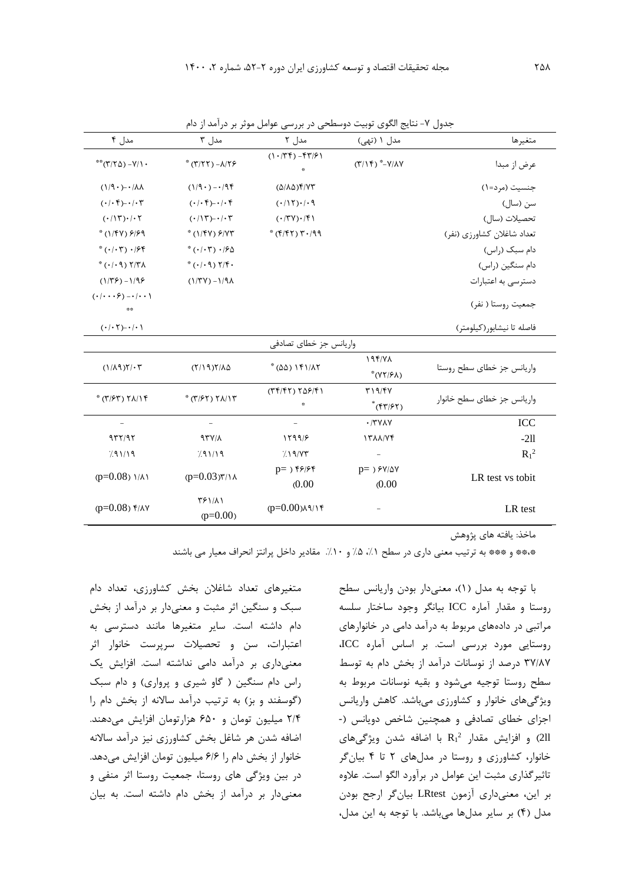| مدل ۴                                                  | مدل ۳                                                               | مدل ۲                              | مدل ۱ (تهی)                                      | متغيرها                    |
|--------------------------------------------------------|---------------------------------------------------------------------|------------------------------------|--------------------------------------------------|----------------------------|
| $*$ $(Y Y\Delta) - Y/1$ .                              | $*(T/TT) - \lambda/T9$                                              | $(1.74) - 577$<br>₩                | $(\Upsilon/\Upsilon)^*$ - $\Upsilon/\Lambda V$   | عرض از مبدا                |
| $(1/9)$ - $\cdot$ / $\lambda\lambda$                   | $(1/9 \cdot) - \cdot 95$                                            | $(\Delta/\lambda\Delta)$ ۴/۷۳      |                                                  | جنسيت (مرد=١)              |
| $(\cdot/\cdot\mathfrak{k})$ - $/\cdot\mathfrak{k}$     | $(\cdot/\cdot) \cdot) - (\cdot) \cdot$                              | $(115)$ ./.9                       |                                                  | سن (سال)                   |
| $(\cdot/\mathcal{N})\cdot/\mathcal{N}$                 | $(\cdot/\mathcal{N})$ - $/\mathcal{N}$                              | (150)                              |                                                  | تحصيلات (سال)              |
| $*(1/\sqrt{Y})$ $9/99$                                 | $*(1/\sqrt{Y})$ $/Y$                                                | $*(f/fY)Y.799$                     |                                                  | تعداد شاغلان كشاورزي (نفر) |
| $*(\cdot/\cdot \mathsf{r})\cdot$ /۶۴                   | $*(\cdot/\cdot \mathsf{r})\cdot/50$                                 |                                    |                                                  | دام سبک (راس)              |
| $*(\cdot/\cdot \mathcal{A})$ $\mathcal{A}/\mathcal{A}$ | $*(\cdot/\cdot \mathcal{A})$ $\mathcal{Y}/\mathcal{F}$ .            |                                    |                                                  | دام سنگین (راس)            |
| $(1/79) - 1/99$                                        | $(1/\Upsilon V) - 1/9\Lambda$                                       |                                    |                                                  | دسترسی به اعتبارات         |
| $(\cdot/\cdot\cdot\cdot) - \cdot/\cdot\cdot$<br>森森     |                                                                     |                                    |                                                  | جمعیت روستا ( نفر)         |
| $(\cdot/\cdot7)-\cdot/\cdot$                           |                                                                     |                                    |                                                  | فاصله تا نيشابور (كيلومتر) |
|                                                        |                                                                     | واریانس جز خطای تصادفی             |                                                  |                            |
| $(1/\lambda9)Y/\cdot Y$                                | $(7/19)7/\lambda\Delta$                                             | $*(\Delta \Delta)$ $\Delta \Gamma$ | 19f/Y<br>*(YY/۶۸)                                | واریانس جز خطای سطح روستا  |
| $*(\Upsilon/\mathcal{F}\Upsilon) \Upsilon(\Upsilon)$   | $*(\uparrow/\uparrow\uparrow) \uparrow \uplambda/\uparrow \uparrow$ | $(TF/FT) T\Delta F/F1$             | T19/FV<br>$*(\uparrow\uparrow/\uparrow\uparrow)$ | واریانس جز خطای سطح خانوار |
| $\overline{\phantom{0}}$                               | $\overline{\phantom{0}}$                                            |                                    | $\cdot$ /٣٧٨٧                                    | ICC                        |
| 977/97                                                 | 97Y/A                                                               | 1599/5                             | ITAA/VF                                          | $-211$                     |
| 791/19                                                 | 791/19                                                              | 719/77                             | $\bar{\phantom{a}}$                              | $R_1^2$                    |
| $(p=0.08)$ $1/A$                                       | $(p=0.03)$ ۳/۱۸                                                     | $p=$ ) ۴۶/۶۴<br>(0.00)             | $p=$ ) $5\frac{\nu}{\Delta V}$<br>(0.00)         | LR test vs tobit           |
| $(p=0.08)$ $\frac{f}{\lambda}$                         | <b>٣۶١/٨١</b><br>$(p=0.00)$                                         | $(p=0.00)$ $A$ $($                 |                                                  | LR test                    |

ماخذ: يافته هاي پژوهش

\*،\*\* و \*\*\* به ترتيب معنی داري در سطح ،%1 %5 و .%10 مقادير داخل پرانتز انحراف معيار می باشند

متغيرهاي تعداد شاغالن بخش کشاورزي، تعداد دام سبک و سنگين اثر مثبت و معنیدار بر درآمد از بخش دام داشته است. ساير متغيرها مانند دسترسی به اعتبارات، سن و تحصيالت سرپرست خانوار اثر معنیداري بر درآمد دامی نداشته است. افزايش يک راس دام سنگين ( گاو شيري و پرواري) و دام سبک )گوسفند و بز( به ترتيب درآمد ساالنه از بخش دام را 2/4 ميليون تومان و 650 هزارتومان افزايش میدهند. اضافه شدن هر شاغل بخش کشاورزي نيز درآمد ساالنه خانوار از بخش دام را 6/6 ميليون تومان افزايش میدهد. در بين ويژگی هاي روستا، جمعيت روستا اثر منفی و معنیدار بر درآمد از بخش دام داشته است. به بيان

با توجه به مدل )1(، معنیدار بودن واريانس سطح روستا و مقدار آماره ICC بيانگر وجود ساختار سلسه مراتبی در دادههاي مربوط به درآمد دامی در خانوارهاي روستايی مورد بررسی است. بر اساس آماره ICC، 37/87 درصد از نوسانات درآمد از بخش دام به توسط سطح روستا توجيه میشود و بقيه نوسانات مربوط به ويژگیهاي خانوار و کشاورزي میباشد. کاهش واريانس اجزاي خطاي تصادفی و همچنين شاخص دويانس )- 2 ll2 )و افزايش مقدار <sup>1</sup>R با اضافه شدن ويژگیهاي خانوار، کشاورزي و روستا در مدلهاي 2 تا 4 بيانگر تاثيرگذاري مثبت اين عوامل در برآورد الگو است. عالوه بر اين، معنیداري آزمون LRtest بيانگر ارجح بودن مدل )4( بر ساير مدلها میباشد. با توجه به اين مدل،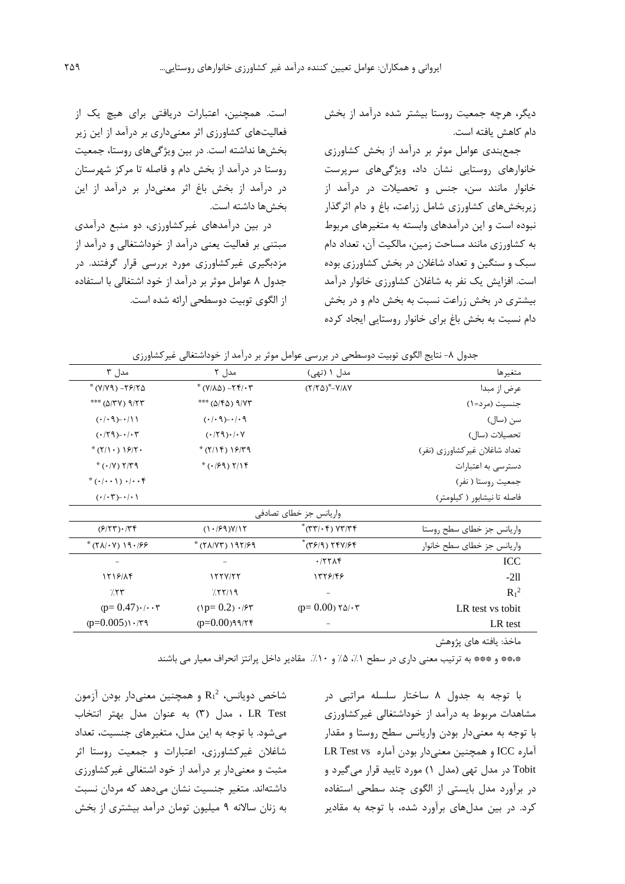ديگر، هرچه جمعيت روستا بيشتر شده درآمد از بخش دام کاهش يافته است.

جمعبندي عوامل موثر بر درآمد از بخش کشاورزي خانوارهاي روستايی نشان داد، ويژگیهاي سرپرست خانوار مانند سن، جنس و تحصيالت در درآمد از زيربخشهاي کشاورزي شامل زراعت، باغ و دام اثرگذار نبوده است و اين درآمدهاي وابسته به متغيرهاي مربوط به کشاورزي مانند مساحت زمين، مالکيت آن، تعداد دام سبک و سنگين و تعداد شاغالن در بخش کشاورزي بوده است. افزايش يک نفر به شاغالن کشاورزي خانوار درآمد بيشتري در بخش زراعت نسبت به بخش دام و در بخش دام نسبت به بخش باغ براي خانوار روستايی ايجاد کرده

است. همچنين، اعتبارات دريافتی براي هيچ يک از فعاليتهاي کشاورزي اثر معنیداري بر درآمد از اين زير بخشها نداشته است. در بين ويژگیهاي روستا، جمعيت روستا در درآمد از بخش دام و فاصله تا مرکز شهرستان در درآمد از بخش باغ اثر معنیدار بر درآمد از اين بخشها داشته است.

در بين درآمدهاي غيرکشاورزي، دو منبع درآمدي مبتنی بر فعاليت يعنی درآمد از خوداشتغالی و درآمد از مزدبگيري غيرکشاورزي مورد بررسی قرار گرفتند. در جدول 8 عوامل موثر بر درآمد از خود اشتغالی با استفاده از الگوي توبيت دوسطحی ارائه شده است.

| مدل ۳                                          | مدل ۲                                                       | مدل ۱ (تهی)                                                                           | متغيرها                       |
|------------------------------------------------|-------------------------------------------------------------|---------------------------------------------------------------------------------------|-------------------------------|
| $*(Y/Y9) - Y970$                               | $*(V/\lambda\Delta) - Yf/\cdot T$                           | $(Y/Y\Delta)^* - Y/\lambda Y$                                                         | عرض از مبدا                   |
| *** (A/TV) 9/77                                | *** (5/16) ***                                              |                                                                                       | جنسیت (مرد=۱)                 |
| $( \cdot   \cdot \eta) - \cdot   \cdot  $      | $( \cdot   \cdot \mathcal{A}) - \cdot   \cdot \mathcal{A} $ |                                                                                       | سن (سال)                      |
| $(179)-1.7$                                    | $(179)$ .                                                   |                                                                                       | تحصيلات (سال)                 |
| $*(7/\cdot)$ $9/7 \cdot$                       | $*(7/15) 19/79$                                             |                                                                                       | تعداد شاغلان غيركشاورزي (نفر) |
| $*(\cdot / V)$ $Y/T9$                          | $*(.79)$ $7/19$                                             |                                                                                       | دسترسی به اعتبارات            |
| $*(\cdot/\cdot\cdot))\cdot/\cdot\cdot$         |                                                             |                                                                                       | جمعيت روستا ( نفر)            |
| $(\cdot/\cdot\tau)$ - $/\cdot \setminus$       |                                                             |                                                                                       | فاصله تا نیشابور ( کیلومتر)   |
|                                                |                                                             | واریانس جز خطای تصادفی                                                                |                               |
| $(5/77) \cdot 77$                              | $(1.99)$ V/17                                               | $*(\tau\tau/\cdot\tau)$ $\gamma\tau/\tau\tau$                                         | واريانس جز خطاى سطح روستا     |
| $*(\Upsilon \Lambda/\Upsilon \Upsilon)$ 19./89 | * (٢٨/٧٣) ١٩٢/۶٩                                            | $*(\uparrow \uparrow \uparrow) \uparrow \uparrow \uparrow \uparrow \uparrow \uparrow$ | واريانس جز خطاى سطح خانوار    |
|                                                |                                                             | .777                                                                                  | ICC                           |
| 1519/AF                                        | 1554/77                                                     | 1558148                                                                               | $-211$                        |
| 7.57                                           | 757/19                                                      | -                                                                                     | $R_1^2$                       |
| $(p=0.47) \cdot$                               | $(1p=0.2) \cdot 15r$                                        | $(p=0.00)$ ۲Δ/ $\cdot$ ۳                                                              | LR test vs tobit              |
| $(p=0.005)$ $\cdot$ /۳۹                        | $(p=0.00)$ ۹۹/۲۴                                            |                                                                                       | LR test                       |

جدول ۸- نتايج الگوي توبيت دوسطحی در بررسی عوامل موثر بر درآمد از خوداشتغالی غيرکشاورزي

ماخذ: يافته هاي پژوهش

\*\*\*\* و \*\*\* به ترتيب معنى داري در سطح ١٪، ۵٪ و ١٠٪. مقادير داخل پرانتز انحراف معيار مي باشند

شاخص دويانس،  $\rm R_1{}^2$  و همچنين معنىدار بودن آزمون Test LR ، مدل )3( به عنوان مدل بهتر انتخاب میشود. با توجه به اين مدل، متغيرهاي جنسيت، تعداد شاغالن غيرکشاورزي، اعتبارات و جمعيت روستا اثر مثبت و معنیدار بر درآمد از خود اشتغالی غيرکشاورزي داشتهاند. متغير جنسيت نشان میدهد که مردان نسبت به زنان ساالنه 9 ميليون تومان درآمد بيشتري از بخش

با توجه به جدول 8 ساختار سلسله مراتبی در مشاهدات مربوط به درآمد از خوداشتغالی غيرکشاورزي با توجه به معنیدار بودن واريانس سطح روستا و مقدار آماره ICC و همچنين معنیدار بودن آماره vs Test LR Tobit در مدل تهی )مدل 1( مورد تاييد قرار میگيرد و در برآورد مدل بايستی از الگوي چند سطحی استفاده کرد. در بين مدلهاي برآورد شده، با توجه به مقادير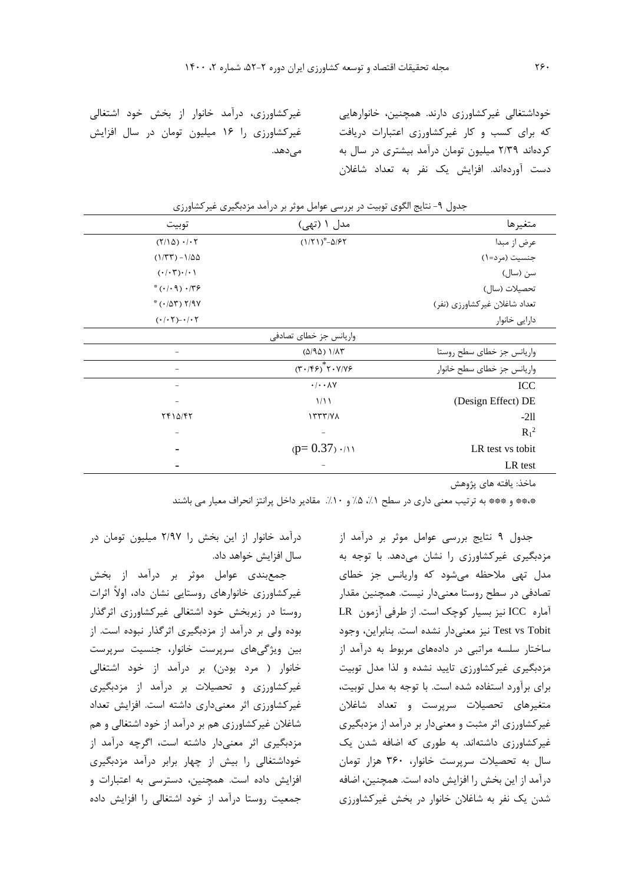خوداشتغالی غيرکشاورزي دارند. همچنين، خانوارهايی که براي کسب و کار غيرکشاورزي اعتبارات دريافت کردهاند 2/39 ميليون تومان درآمد بيشتري در سال به دست آوردهاند. افزايش يک نفر به تعداد شاغالن

متغيرها مدل 1 )تهی( توبيت  $(1/71)^* - \Delta/57$ عرض از مبدا  $(Y/\Delta)$   $\cdot$  /  $\cdot$   $\uparrow$ جنسيت (مرد=۱) ) مشاب (1/۲۳) ) (۱/۲۳) ) (۱/۲۳) ) (۱/۲۳) ) (۱/۲۳) (۱/۲۳) (۱/۲۳) (۱/۲۳) (۱/۲۳) (۱/۲۳) (۱/۲۳) (۱/۲ سن )سال( 0/01)0/03(  $*(\cdot/\cdot \mathcal{A}) \cdot/\mathcal{B}$ تحصيلات (سال)  $*(\cdot/\Delta \Upsilon)$   $Y/9Y$ تعداد شاغلان غيركشاورزي (نفر) دارايی خانوار -0/02)0/02( واريانس جز خطاي تصادفی واريانس جز خطاي سطح روستا المعدد (۵/۹۵) (۵/۹۵)  $-\left( \mathbf{r} \cdot / \mathbf{r} \mathbf{r} \right)^{*}$ واريانس جز خطاى سطح خانوار - 0/0087 ICC 1/11 (Design Effect) DE  $\frac{1}{2}$  $R_1^2$ - -  $(p= 0.37) \cdot (11)$  LR test vs tobit - LR test

| جدول ۹- نتایج الگوی توبیت در بررسی عوامل موثر بر درآمد مزدبگیری غیرکشاورزی |  |  |  |
|----------------------------------------------------------------------------|--|--|--|
|----------------------------------------------------------------------------|--|--|--|

میدهد.

ماخذ: يافته هاي پژوهش

\*\*\*\* و \*\*\* به ترتيب معنى داري در سطح ١/، ۵/ و ١٠/. مقادير داخل پرانتز انحراف معيار مي باشند

جدول 9 نتايج بررسی عوامل موثر بر درآمد از مزدبگيري غيرکشاورزي را نشان میدهد. با توجه به مدل تهی مالحظه میشود که واريانس جز خطاي تصادفی در سطح روستا معنیدار نيست. همچنين مقدار آماره ICC نيز بسيار کوچک است. از طرفی آزمون LR Tobit vs Test نيز معنیدار نشده است. بنابراين، وجود ساختار سلسه مراتبی در دادههاي مربوط به درآمد از مزدبگيري غيرکشاورزي تاييد نشده و لذا مدل توبيت براي برآورد استفاده شده است. با توجه به مدل توبيت، متغيرهاي تحصيالت سرپرست و تعداد شاغالن غيرکشاورزي اثر مثبت و معنیدار بر درآمد از مزدبگيري غيرکشاورزي داشتهاند. به طوري که اضافه شدن يک سال به تحصيالت سرپرست خانوار، 360 هزار تومان درآمد از اين بخش را افزايش داده است. همچنين، اضافه شدن يک نفر به شاغالن خانوار در بخش غيرکشاورزي

درآمد خانوار از اين بخش را 2/97 ميليون تومان در سال افزايش خواهد داد.

غيرکشاورزي، درآمد خانوار از بخش خود اشتغالی غيرکشاورزي را 16 ميليون تومان در سال افزايش

جمعبندي عوامل موثر بر درآمد از بخش غيرکشاورزي خانوارهاي روستايی نشان داد، اوالً اثرات روستا در زيربخش خود اشتغالی غيرکشاورزي اثرگذار بوده ولی بر درآمد از مزدبگيري اثرگذار نبوده است. از بين ويژگیهاي سرپرست خانوار، جنسيت سرپرست خانوار ( مرد بودن) بر درآمد از خود اشتغالی غيرکشاورزي و تحصيالت بر درآمد از مزدبگيري غيرکشاورزي اثر معنیداري داشته است. افزايش تعداد شاغالن غيرکشاورزي هم بر درآمد از خود اشتغالی و هم مزدبگيري اثر معنیدار داشته است، اگرچه درآمد از خوداشتغالی را بيش از چهار برابر درآمد مزدبگيري افزايش داده است. همچنين، دسترسی به اعتبارات و جمعيت روستا درآمد از خود اشتغالی را افزايش داده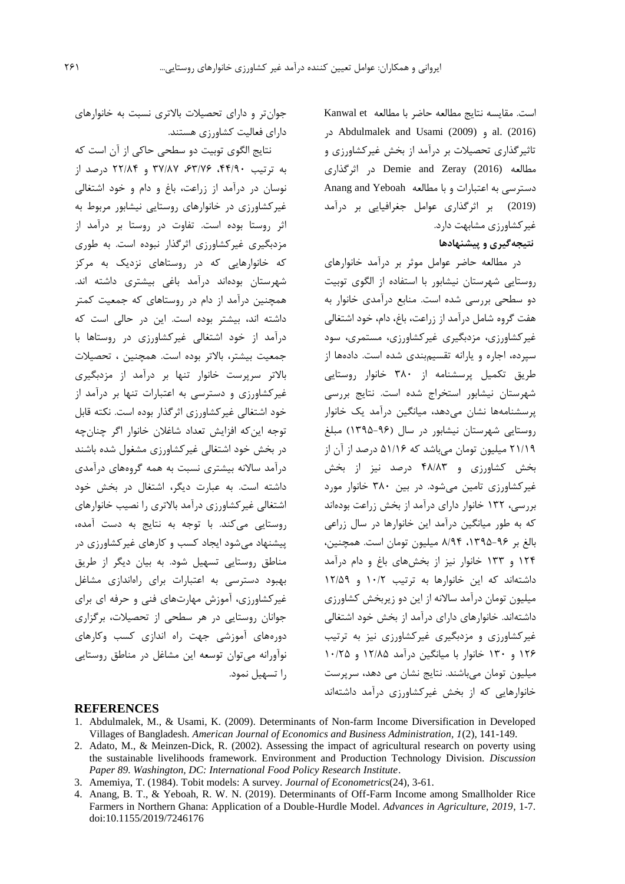است. مقايسه نتايج مطالعه حاضر با مطالعه Kanwal et در [Abdulmalek and Usami \(2009\)](#page-14-2) و al. (2016) تاثيرگذاري تحصيالت بر درآمد از بخش غيرکشاورزي و مطالعه [\(2016\) Zeray and Demie](#page-15-11) در اثرگذاري دسترسی به اعتبارات و با مطالعه [Yeboah and Anang](#page-14-1) (2019) بر اثرگذاري عوامل جغرافيايی بر درآمد غيرکشاورزي مشابهت دارد.

## **نتيجهگيري و پيشنهادها**

در مطالعه حاضر عوامل موثر بر درآمد خانوارهاي روستايی شهرستان نيشابور با استفاده از الگوي توبيت دو سطحی بررسی شده است. منابع درآمدي خانوار به هفت گروه شامل درآمد از زراعت، باغ، دام، خود اشتغالی غيرکشاورزي، مزدبگيري غيرکشاورزي، مستمري، سود سپرده، اجاره و يارانه تقسيمبندي شده است. دادهها از طريق تکميل پرسشنامه از 380 خانوار روستايی شهرستان نيشابور استخراج شده است. نتايج بررسی پرسشنامهها نشان میدهد، ميانگين درآمد يک خانوار روستايی شهرستان نيشابور در سال )1395-96( مبلغ 21/19 ميليون تومان میباشد که 51/16 درصد از آن از بخش کشاورزي و 48/83 درصد نيز از بخش غيرکشاورزي تامين میشود. در بين 380 خانوار مورد بررسی، 132 خانوار داراي درآمد از بخش زراعت بودهاند که به طور ميانگين درآمد اين خانوارها در سال زراعی بالغ بر ،1395-96 8/94 ميليون تومان است. همچنين، 124 و 133 خانوار نيز از بخشهاي باغ و دام درآمد داشتهاند که اين خانوارها به ترتيب 10/2 و 12/59 ميليون تومان درآمد ساالنه از اين دو زيربخش کشاورزي داشتهاند. خانوارهاي داراي درآمد از بخش خود اشتغالی غيرکشاورزي و مزدبگيري غيرکشاورزي نيز به ترتيب 126 و 130 خانوار با ميانگين درآمد 12/85 و 10/25 ميليون تومان میباشند. نتايج نشان می دهد، سرپرست خانوارهايی که از بخش غيرکشاورزي درآمد داشتهاند

جوانتر و داراي تحصيالت باالتري نسبت به خانوارهاي داراي فعاليت کشاورزي هستند.

نتايج الگوي توبيت دو سطحی حاکی از آن است که به ترتيب ،44/90 ،63/76 37/87 و 22/84 درصد از نوسان در درآمد از زراعت، باغ و دام و خود اشتغالی غيرکشاورزي در خانوارهاي روستايی نيشابور مربوط به اثر روستا بوده است. تفاوت در روستا بر درآمد از مزدبگيري غيرکشاورزي اثرگذار نبوده است. به طوري که خانوارهايی که در روستاهاي نزديک به مرکز شهرستان بودهاند درآمد باغی بيشتري داشته اند. همچنين درآمد از دام در روستاهاي که جمعيت کمتر داشته اند، بيشتر بوده است. اين در حالی است که درآمد از خود اشتغالی غيرکشاورزي در روستاها با جمعيت بيشتر، باالتر بوده است. همچنين ، تحصيالت باالتر سرپرست خانوار تنها بر درآمد از مزدبگيري غيرکشاورزي و دسترسی به اعتبارات تنها بر درآمد از خود اشتغالی غيرکشاورزي اثرگذار بوده است. نکته قابل توجه اينکه افزايش تعداد شاغالن خانوار اگر چنانچه در بخش خود اشتغالی غيرکشاورزي مشغول شده باشند درآمد ساالنه بيشتري نسبت به همه گروههاي درآمدي داشته است. به عبارت ديگر، اشتغال در بخش خود اشتغالی غيرکشاورزي درآمد باالتري را نصيب خانوارهاي روستايی میکند. با توجه به نتايج به دست آمده، پيشنهاد میشود ايجاد کسب و کارهاي غيرکشاورزي در مناطق روستايی تسهيل شود. به بيان ديگر از طريق بهبود دسترسی به اعتبارات براي راهاندازي مشاغل غيرکشاورزي، آموزش مهارتهاي فنی و حرفه اي براي جوانان روستايی در هر سطحی از تحصيالت، برگزاري دورههاي آموزشی جهت راه اندازي کسب وکارهاي نوآورانه میتوان توسعه اين مشاغل در مناطق روستايی را تسهيل نمود.

#### **REFERENCES**

- <span id="page-14-2"></span>1. Abdulmalek, M., & Usami, K. (2009). Determinants of Non-farm Income Diversification in Developed Villages of Bangladesh. *American Journal of Economics and Business Administration, 1*(2), 141-149.
- <span id="page-14-0"></span>2. Adato, M., & Meinzen-Dick, R. (2002). Assessing the impact of agricultural research on poverty using the sustainable livelihoods framework. Environment and Production Technology Division. *Discussion Paper 89. Washington, DC: International Food Policy Research Institute*.
- <span id="page-14-3"></span>3. Amemiya, T. (1984). Tobit models: A survey. *Journal of Econometrics*(24), 3-61.
- <span id="page-14-1"></span>4. Anang, B. T., & Yeboah, R. W. N. (2019). Determinants of Off-Farm Income among Smallholder Rice Farmers in Northern Ghana: Application of a Double-Hurdle Model. *Advances in Agriculture, 2019*, 1-7. doi:10.1155/2019/7246176